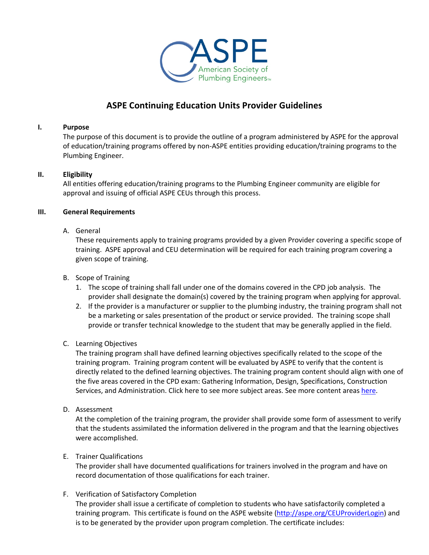

# **ASPE Continuing Education Units Provider Guidelines**

## **I. Purpose**

The purpose of this document is to provide the outline of a program administered by ASPE for the approval of education/training programs offered by non-ASPE entities providing education/training programs to the Plumbing Engineer.

# **II. Eligibility**

All entities offering education/training programs to the Plumbing Engineer community are eligible for approval and issuing of official ASPE CEUs through this process.

# **III. General Requirements**

# A. General

These requirements apply to training programs provided by a given Provider covering a specific scope of training. ASPE approval and CEU determination will be required for each training program covering a given scope of training.

- B. Scope of Training
	- 1. The scope of training shall fall under one of the domains covered in the CPD job analysis. The provider shall designate the domain(s) covered by the training program when applying for approval.
	- 2. If the provider is a manufacturer or supplier to the plumbing industry, the training program shall not be a marketing or sales presentation of the product or service provided. The training scope shall provide or transfer technical knowledge to the student that may be generally applied in the field.

## C. Learning Objectives

The training program shall have defined learning objectives specifically related to the scope of the training program. Training program content will be evaluated by ASPE to verify that the content is directly related to the defined learning objectives. The training program content should align with one of the five areas covered in the CPD exam: Gathering Information, Design, Specifications, Construction Services, and Administration. Click here to see more subject areas. See more content areas here.

D. Assessment

At the completion of the training program, the provider shall provide some form of assessment to verify that the students assimilated the information delivered in the program and that the learning objectives were accomplished.

## E. Trainer Qualifications

The provider shall have documented qualifications for trainers involved in the program and have on record documentation of those qualifications for each trainer.

# F. Verification of Satisfactory Completion

The provider shall issue a certificate of completion to students who have satisfactorily completed a training program. This certificate is found on the ASPE website (http://aspe.org/CEUProviderLogin) and is to be generated by the provider upon program completion. The certificate includes: